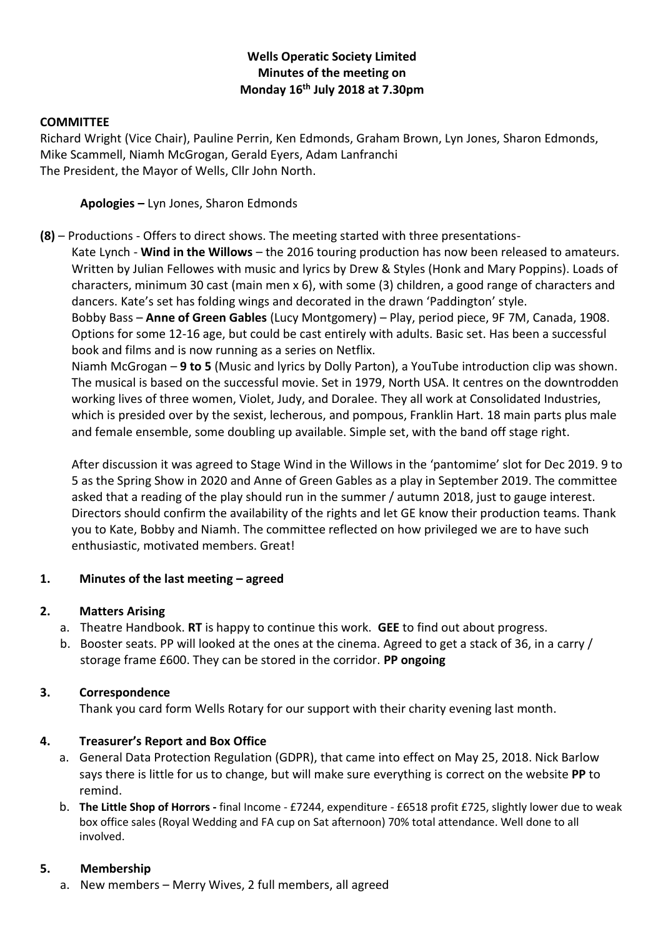# **Wells Operatic Society Limited Minutes of the meeting on Monday 16th July 2018 at 7.30pm**

### **COMMITTEE**

Richard Wright (Vice Chair), Pauline Perrin, Ken Edmonds, Graham Brown, Lyn Jones, Sharon Edmonds, Mike Scammell, Niamh McGrogan, Gerald Eyers, Adam Lanfranchi The President, the Mayor of Wells, Cllr John North.

**Apologies –** Lyn Jones, Sharon Edmonds

**(8)** – Productions - Offers to direct shows. The meeting started with three presentations-

Kate Lynch - **Wind in the Willows** – the 2016 touring production has now been released to amateurs. Written by Julian Fellowes with music and lyrics by Drew & Styles (Honk and Mary Poppins). Loads of characters, minimum 30 cast (main men x 6), with some (3) children, a good range of characters and dancers. Kate's set has folding wings and decorated in the drawn 'Paddington' style.

Bobby Bass – **Anne of Green Gables** (Lucy Montgomery) – Play, period piece, 9F 7M, Canada, 1908. Options for some 12-16 age, but could be cast entirely with adults. Basic set. Has been a successful book and films and is now running as a series on Netflix.

Niamh McGrogan – **9 to 5** (Music and lyrics by Dolly Parton), a YouTube introduction clip was shown. The musical is based on the successful movie. Set in 1979, North USA. It centres on the downtrodden working lives of three women, Violet, Judy, and Doralee. They all work at Consolidated Industries, which is presided over by the sexist, lecherous, and pompous, Franklin Hart. 18 main parts plus male and female ensemble, some doubling up available. Simple set, with the band off stage right.

After discussion it was agreed to Stage Wind in the Willows in the 'pantomime' slot for Dec 2019. 9 to 5 as the Spring Show in 2020 and Anne of Green Gables as a play in September 2019. The committee asked that a reading of the play should run in the summer / autumn 2018, just to gauge interest. Directors should confirm the availability of the rights and let GE know their production teams. Thank you to Kate, Bobby and Niamh. The committee reflected on how privileged we are to have such enthusiastic, motivated members. Great!

# **1. Minutes of the last meeting – agreed**

# **2. Matters Arising**

- a. Theatre Handbook. **RT** is happy to continue this work. **GEE** to find out about progress.
- b. Booster seats. PP will looked at the ones at the cinema. Agreed to get a stack of 36, in a carry / storage frame £600. They can be stored in the corridor. **PP ongoing**

# **3. Correspondence**

Thank you card form Wells Rotary for our support with their charity evening last month.

# **4. Treasurer's Report and Box Office**

- a. General Data Protection Regulation (GDPR), that came into effect on May 25, 2018. Nick Barlow says there is little for us to change, but will make sure everything is correct on the website **PP** to remind.
- b. **The Little Shop of Horrors -** final Income £7244, expenditure £6518 profit £725, slightly lower due to weak box office sales (Royal Wedding and FA cup on Sat afternoon) 70% total attendance. Well done to all involved.

# **5. Membership**

a. New members – Merry Wives, 2 full members, all agreed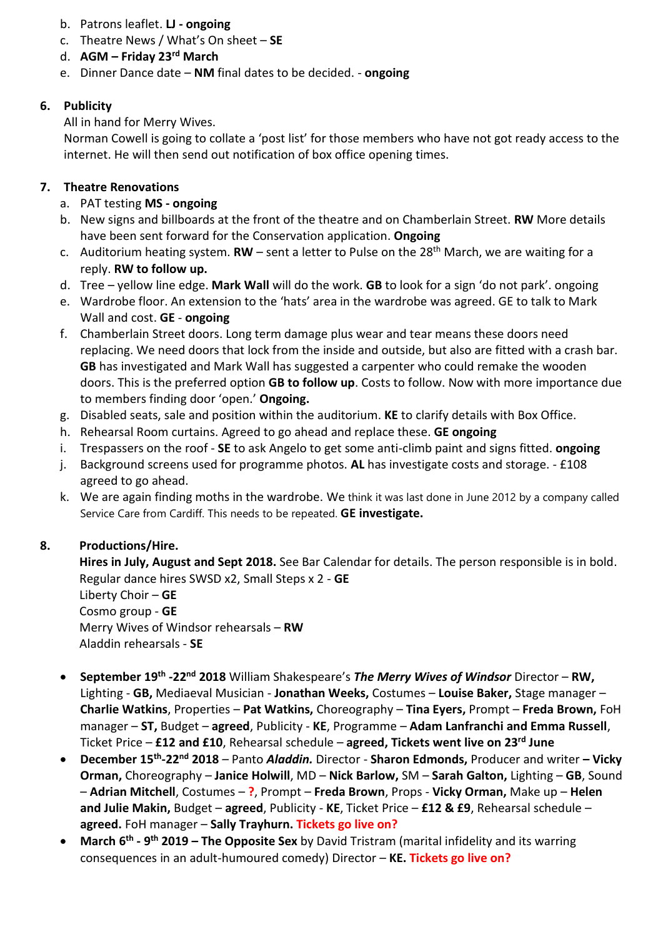- b. Patrons leaflet. **LJ - ongoing**
- c. Theatre News / What's On sheet **SE**
- d. **AGM – Friday 23rd March**
- e. Dinner Dance date **NM** final dates to be decided. **ongoing**

# **6. Publicity**

All in hand for Merry Wives.

Norman Cowell is going to collate a 'post list' for those members who have not got ready access to the internet. He will then send out notification of box office opening times.

# **7. Theatre Renovations**

- a. PAT testing **MS - ongoing**
- b. New signs and billboards at the front of the theatre and on Chamberlain Street. **RW** More details have been sent forward for the Conservation application. **Ongoing**
- c. Auditorium heating system.  $RW -$  sent a letter to Pulse on the  $28<sup>th</sup>$  March, we are waiting for a reply. **RW to follow up.**
- d. Tree yellow line edge. **Mark Wall** will do the work. **GB** to look for a sign 'do not park'. ongoing
- e. Wardrobe floor. An extension to the 'hats' area in the wardrobe was agreed. GE to talk to Mark Wall and cost. **GE** - **ongoing**
- f. Chamberlain Street doors. Long term damage plus wear and tear means these doors need replacing. We need doors that lock from the inside and outside, but also are fitted with a crash bar. **GB** has investigated and Mark Wall has suggested a carpenter who could remake the wooden doors. This is the preferred option **GB to follow up**. Costs to follow. Now with more importance due to members finding door 'open.' **Ongoing.**
- g. Disabled seats, sale and position within the auditorium. **KE** to clarify details with Box Office.
- h. Rehearsal Room curtains. Agreed to go ahead and replace these. **GE ongoing**
- i. Trespassers on the roof **SE** to ask Angelo to get some anti-climb paint and signs fitted. **ongoing**
- j. Background screens used for programme photos. **AL** has investigate costs and storage. £108 agreed to go ahead.
- k. We are again finding moths in the wardrobe. We think it was last done in June 2012 by a company called Service Care from Cardiff. This needs to be repeated. **GE investigate.**

# **8. Productions/Hire.**

**Hires in July, August and Sept 2018.** See Bar Calendar for details. The person responsible is in bold. Regular dance hires SWSD x2, Small Steps x 2 - **GE** Liberty Choir – **GE** Cosmo group - **GE** Merry Wives of Windsor rehearsals – **RW** Aladdin rehearsals - **SE**

- **September 19th -22nd 2018** William Shakespeare's *The Merry Wives of Windsor* Director **RW,**  Lighting - **GB,** Mediaeval Musician - **Jonathan Weeks,** Costumes – **Louise Baker,** Stage manager – **Charlie Watkins**, Properties – **Pat Watkins,** Choreography – **Tina Eyers,** Prompt – **Freda Brown,** FoH manager – **ST,** Budget – **agreed**, Publicity - **KE**, Programme – **Adam Lanfranchi and Emma Russell**, Ticket Price – **£12 and £10**, Rehearsal schedule – **agreed, Tickets went live on 23rd June**
- **December 15th -22nd 2018** *–* Panto *Aladdin.* Director **Sharon Edmonds,** Producer and writer **– Vicky Orman,** Choreography – **Janice Holwill**, MD – **Nick Barlow,** SM – **Sarah Galton,** Lighting – **GB**, Sound – **Adrian Mitchell**, Costumes – **?**, Prompt – **Freda Brown**, Props - **Vicky Orman,** Make up – **Helen and Julie Makin,** Budget – **agreed**, Publicity - **KE**, Ticket Price – **£12 & £9**, Rehearsal schedule – **agreed.** FoH manager – **Sally Trayhurn. Tickets go live on?**
- **•** March 6<sup>th</sup> 9<sup>th</sup> 2019 The Opposite Sex by David Tristram (marital infidelity and its warring consequences in an adult-humoured comedy) Director – **KE. Tickets go live on?**